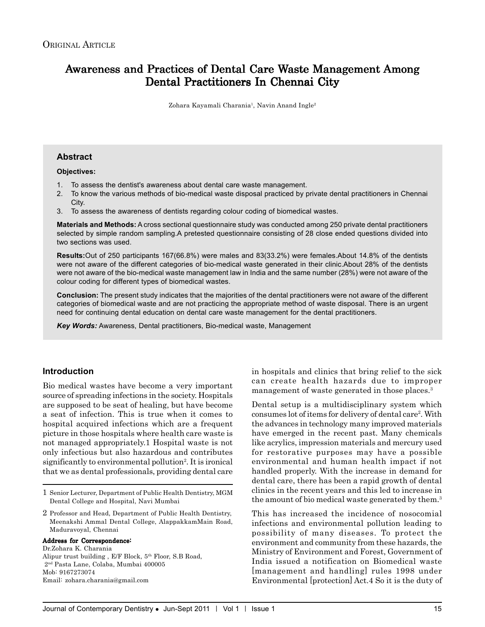# Awareness and Practices of Dental Care Waste Management Among Dental Practitioners In Chennai City

Zohara Kayamali Charania<sup>1</sup>, Navin Anand Ingle<sup>2</sup>

#### **Abstract**

**Objectives:**

- 1. To assess the dentist's awareness about dental care waste management.
- 2. To know the various methods of bio-medical waste disposal practiced by private dental practitioners in Chennai City.
- 3. To assess the awareness of dentists regarding colour coding of biomedical wastes.

**Materials and Methods:** A cross sectional questionnaire study was conducted among 250 private dental practitioners selected by simple random sampling.A pretested questionnaire consisting of 28 close ended questions divided into two sections was used.

**Results:**Out of 250 participants 167(66.8%) were males and 83(33.2%) were females.About 14.8% of the dentists were not aware of the different categories of bio-medical waste generated in their clinic.About 28% of the dentists were not aware of the bio-medical waste management law in India and the same number (28%) were not aware of the colour coding for different types of biomedical wastes.

**Conclusion:** The present study indicates that the majorities of the dental practitioners were not aware of the different categories of biomedical waste and are not practicing the appropriate method of waste disposal. There is an urgent need for continuing dental education on dental care waste management for the dental practitioners.

*Key Words:* Awareness, Dental practitioners, Bio-medical waste, Management

#### **Introduction**

Bio medical wastes have become a very important source of spreading infections in the society. Hospitals are supposed to be seat of healing, but have become a seat of infection. This is true when it comes to hospital acquired infections which are a frequent picture in those hospitals where health care waste is not managed appropriately.1 Hospital waste is not only infectious but also hazardous and contributes significantly to environmental pollution<sup>2</sup>. It is ironical that we as dental professionals, providing dental care

1 Senior Lecturer, Department of Public Health Dentistry, MGM Dental College and Hospital, Navi Mumbai

2 Professor and Head, Department of Public Health Dentistry, Meenakshi Ammal Dental College, AlappakkamMain Road, Maduravoyal, Chennai

#### Address for Correspondence:

Dr.Zohara K. Charania Alipur trust building , E/F Block, 5th Floor, S.B Road, 2nd Pasta Lane, Colaba, Mumbai 400005 Mob: 9167273074 Email: zohara.charania@gmail.com

in hospitals and clinics that bring relief to the sick can create health hazards due to improper management of waste generated in those places.<sup>3</sup>

Dental setup is a multidisciplinary system which consumes lot of items for delivery of dental care2 . With the advances in technology many improved materials have emerged in the recent past. Many chemicals like acrylics, impression materials and mercury used for restorative purposes may have a possible environmental and human health impact if not handled properly. With the increase in demand for dental care, there has been a rapid growth of dental clinics in the recent years and this led to increase in the amount of bio medical waste generated by them.<sup>3</sup>

This has increased the incidence of nosocomial infections and environmental pollution leading to possibility of many diseases. To protect the environment and community from these hazards, the Ministry of Environment and Forest, Government of India issued a notification on Biomedical waste [management and handling] rules 1998 under Environmental [protection] Act.4 So it is the duty of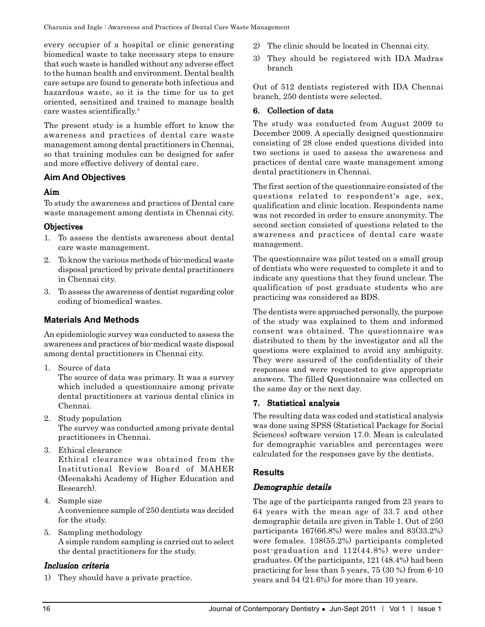every occupier of a hospital or clinic generating biomedical waste to take necessary steps to ensure that such waste is handled without any adverse effect to the human health and environment. Dental health care setups are found to generate both infectious and hazardous waste, so it is the time for us to get oriented, sensitized and trained to manage health care wastes scientifically.3

The present study is a humble effort to know the awareness and practices of dental care waste management among dental practitioners in Chennai, so that training modules can be designed for safer and more effective delivery of dental care.

# **Aim And Objectives**

#### Aim

To study the awareness and practices of Dental care waste management among dentists in Chennai city.

#### **Objectives**

- 1. To assess the dentists awareness about dental care waste management.
- 2. To know the various methods of bio-medical waste disposal practiced by private dental practitioners in Chennai city.
- 3. To assess the awareness of dentist regarding color coding of biomedical wastes.

# **Materials And Methods**

An epidemiologic survey was conducted to assess the awareness and practices of bio-medical waste disposal among dental practitioners in Chennai city.

1. Source of data

The source of data was primary. It was a survey which included a questionnaire among private dental practitioners at various dental clinics in Chennai.

- 2. Study population The survey was conducted among private dental practitioners in Chennai.
- 3. Ethical clearance Ethical clearance was obtained from the Institutional Review Board of MAHER (Meenakshi Academy of Higher Education and Research).
- 4. Sample size A convenience sample of 250 dentists was decided for the study.
- 5. Sampling methodology A simple random sampling is carried out to select the dental practitioners for the study.

#### Inclusion criteria

1) They should have a private practice.

- 2) The clinic should be located in Chennai city.
- 3) They should be registered with IDA Madras branch

Out of 512 dentists registered with IDA Chennai branch, 250 dentists were selected.

#### 6. Collection of data

The study was conducted from August 2009 to December 2009. A specially designed questionnaire consisting of 28 close ended questions divided into two sections is used to assess the awareness and practices of dental care waste management among dental practitioners in Chennai.

The first section of the questionnaire consisted of the questions related to respondent's age, sex, qualification and clinic location. Respondents name was not recorded in order to ensure anonymity. The second section consisted of questions related to the awareness and practices of dental care waste management.

The questionnaire was pilot tested on a small group of dentists who were requested to complete it and to indicate any questions that they found unclear. The qualification of post graduate students who are practicing was considered as BDS.

The dentists were approached personally, the purpose of the study was explained to them and informed consent was obtained. The questionnaire was distributed to them by the investigator and all the questions were explained to avoid any ambiguity. They were assured of the confidentiality of their responses and were requested to give appropriate answers. The filled Questionnaire was collected on the same day or the next day.

# 7. Statistical analysis

The resulting data was coded and statistical analysis was done using SPSS (Statistical Package for Social Sciences) software version 17.0. Mean is calculated for demographic variables and percentages were calculated for the responses gave by the dentists.

# **Results**

# Demographic details

The age of the participants ranged from 23 years to 64 years with the mean age of 33.7 and other demographic details are given in Table 1. Out of 250 participants 167(66.8%) were males and 83(33.2%) were females. 138(55.2%) participants completed post-graduation and 112(44.8%) were undergraduates. Of the participants, 121 (48.4%) had been practicing for less than 5 years, 75 (30 %) from 6-10 years and 54 (21.6%) for more than 10 years.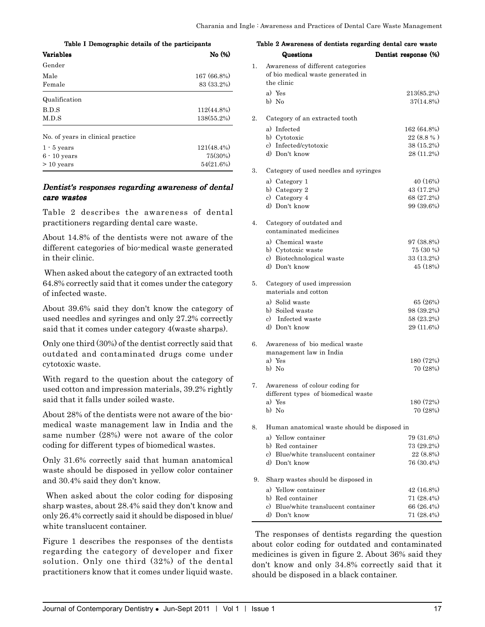| rable I Demographic details of the participants |               |  |  |
|-------------------------------------------------|---------------|--|--|
| <b>Variables</b>                                | No (%)        |  |  |
| Gender                                          |               |  |  |
| Male                                            | 167 (66.8%)   |  |  |
| Female                                          | 83 (33.2%)    |  |  |
| Qualification                                   |               |  |  |
| B.D.S                                           | $112(44.8\%)$ |  |  |
| M.D.S                                           | $138(55.2\%)$ |  |  |
| No. of years in clinical practice.              |               |  |  |
| $1 - 5$ years                                   | $121(48.4\%)$ |  |  |
| $6 - 10$ years                                  | 75(30%)       |  |  |
| $> 10$ years                                    | 54(21.6%)     |  |  |

Table I Demographic details of the participants

#### Dentist's responses regarding awareness of dental care wastes

Table 2 describes the awareness of dental practitioners regarding dental care waste.

About 14.8% of the dentists were not aware of the different categories of bio-medical waste generated in their clinic.

 When asked about the category of an extracted tooth 64.8% correctly said that it comes under the category of infected waste.

About 39.6% said they don't know the category of used needles and syringes and only 27.2% correctly said that it comes under category 4(waste sharps).

Only one third (30%) of the dentist correctly said that outdated and contaminated drugs come under cytotoxic waste.

With regard to the question about the category of used cotton and impression materials, 39.2% rightly said that it falls under soiled waste.

About 28% of the dentists were not aware of the biomedical waste management law in India and the same number (28%) were not aware of the color coding for different types of biomedical wastes.

Only 31.6% correctly said that human anatomical waste should be disposed in yellow color container and 30.4% said they don't know.

 When asked about the color coding for disposing sharp wastes, about 28.4% said they don't know and only 26.4% correctly said it should be disposed in blue/ white translucent container.

Figure 1 describes the responses of the dentists regarding the category of developer and fixer solution. Only one third (32%) of the dental practitioners know that it comes under liquid waste.

| Table 2 Awareness of dentists regarding dental care waste |                                                                                      |                          |  |
|-----------------------------------------------------------|--------------------------------------------------------------------------------------|--------------------------|--|
|                                                           | Questions                                                                            | Dentist response (%)     |  |
| 1.                                                        | Awareness of different categories<br>of bio medical waste generated in<br>the clinic |                          |  |
|                                                           | a) Yes<br>b) No                                                                      | 213(85.2%)<br>37(14.8%)  |  |
| 2.                                                        | Category of an extracted tooth                                                       |                          |  |
|                                                           | a) Infected                                                                          | 162 (64.8%)              |  |
|                                                           | b) Cytotoxic                                                                         | 22(8.8%                  |  |
|                                                           | c) Infected/cytotoxic                                                                | $38(15.2\%)$             |  |
|                                                           | d) Don't know                                                                        | 28 (11.2%)               |  |
| 3.                                                        | Category of used needles and syringes                                                |                          |  |
|                                                           | a) Category 1                                                                        | 40 (16%)                 |  |
|                                                           | b) Category 2                                                                        | 43 (17.2%)               |  |
|                                                           | c) Category 4<br>d) Don't know                                                       | 68 (27.2%)<br>99 (39.6%) |  |
|                                                           |                                                                                      |                          |  |
| 4.                                                        | Category of outdated and                                                             |                          |  |
|                                                           | contaminated medicines                                                               |                          |  |
|                                                           | a) Chemical waste                                                                    | 97 (38.8%)               |  |
|                                                           | b) Cytotoxic waste<br>c) Biotechnological waste                                      | 75 (30 %)<br>33 (13.2%)  |  |
|                                                           | d) Don't know                                                                        | 45 (18%)                 |  |
|                                                           |                                                                                      |                          |  |
| 5.                                                        | Category of used impression<br>materials and cotton                                  |                          |  |
|                                                           | a) Solid waste                                                                       | 65 (26%)                 |  |
|                                                           | b) Soiled waste                                                                      | 98 (39.2%)               |  |
|                                                           | c) Infected waste                                                                    | 58 (23.2%)               |  |
|                                                           | d) Don't know                                                                        | 29 (11.6%)               |  |
| 6.                                                        | Awareness of bio medical waste<br>management law in India                            |                          |  |
|                                                           | a) Yes                                                                               | 180 (72%)                |  |
|                                                           | b) No                                                                                | 70 (28%)                 |  |
| 7.                                                        | Awareness of colour coding for<br>different types of biomedical waste                |                          |  |
|                                                           | a) Yes                                                                               | 180 (72%)                |  |
|                                                           | b) No                                                                                | 70 (28%)                 |  |
| 8.                                                        | Human anatomical waste should be disposed in                                         |                          |  |
|                                                           | a) Yellow container                                                                  | 79 (31.6%)               |  |
|                                                           | b) Red container                                                                     | 73 (29.2%)               |  |
|                                                           | c) Blue/white translucent container                                                  | 22 (8.8%)<br>76 (30.4%)  |  |
|                                                           | d) Don't know                                                                        |                          |  |
| 9.                                                        | Sharp wastes should be disposed in                                                   |                          |  |
|                                                           | a) Yellow container                                                                  | 42 (16.8%)               |  |
|                                                           | b) Red container<br>c) Blue/white translucent container                              | 71 (28.4%)<br>66 (26.4%) |  |
|                                                           | d) Don't know                                                                        | 71 (28.4%)               |  |
|                                                           |                                                                                      |                          |  |

 The responses of dentists regarding the question about color coding for outdated and contaminated medicines is given in figure 2. About 36% said they don't know and only 34.8% correctly said that it should be disposed in a black container.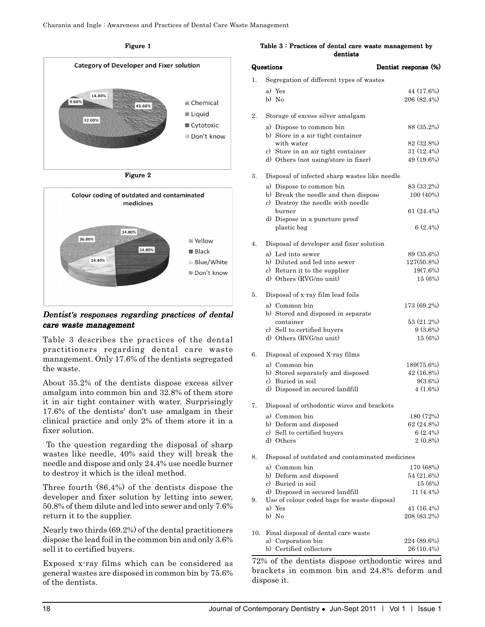Figure 1



Figure 2



Dentist's responses regarding practices of dental care waste management

Table 3 describes the practices of the dental practitioners regarding dental care waste management. Only 17.6% of the dentists segregated the waste.

About 35.2% of the dentists dispose excess silver amalgam into common bin and 32.8% of them store it in air tight container with water. Surprisingly 17.6% of the dentists' don't use amalgam in their clinical practice and only 2% of them store it in a fixer solution.

 To the question regarding the disposal of sharp wastes like needle, 40% said they will break the needle and dispose and only 24.4% use needle burner to destroy it which is the ideal method.

Three fourth (86.4%) of the dentists dispose the developer and fixer solution by letting into sewer, 50.8% of them dilute and led into sewer and only 7.6% return it to the supplier.

Nearly two thirds (69.2%) of the dental practitioners dispose the lead foil in the common bin and only 3.6% sell it to certified buyers.

Exposed x-ray films which can be considered as general wastes are disposed in common bin by 75.6% of the dentists.

Table 3 : Practices of dental care waste management by dentists

|     | Questions                                                     | Dentist response (%)      |
|-----|---------------------------------------------------------------|---------------------------|
| 1.  | Segregation of different types of wastes                      |                           |
|     | a) Yes<br>b) No                                               | 44 (17.6%)<br>206 (82.4%) |
| 2.  | Storage of excess silver amalgam                              |                           |
|     | a) Dispose to common bin<br>b) Store in a air tight container | 88 (35.2%)                |
|     | with water<br>c) Store in an air tight container              | 82 (32.8%)<br>31 (12.4%)  |
|     | d) Others (not using/store in fixer)                          | 49 (19.6%)                |
| 3.  | Disposal of infected sharp wastes like needle                 |                           |
|     | a) Dispose to common bin                                      | 83 (33.2%)                |
|     | b) Break the needle and then dispose                          | 100 (40%)                 |
|     | c) Destroy the needle with needle                             |                           |
|     | burner<br>d) Dispose in a puncture proof                      | 61 (24.4%)                |
|     | plastic bag                                                   | $6(2.4\%)$                |
| 4.  | Disposal of developer and fixer solution                      |                           |
|     | a) Led into sewer                                             | 89 (35.6%)                |
|     | b) Diluted and led into sewer                                 | 127(50.8%)                |
|     | c) Return it to the supplier                                  | 19(7.6%)                  |
|     | d) Others (RVG/no unit)                                       | 15 (6%)                   |
| 5.  | Disposal of x-ray film lead foils                             |                           |
|     | a) Common bin<br>b) Stored and disposed in separate           | 173 (69.2%)               |
|     | container                                                     | 53 (21.2%)                |
|     | c) Sell to certified buyers                                   | $9(3.6\%)$                |
|     | d) Others (RVG/no unit)                                       | 15 (6%)                   |
| 6.  | Disposal of exposed X-ray films                               |                           |
|     | a) Common bin                                                 | 189(75.6%)                |
|     | b) Stored separately and disposed<br>c) Buried in soil        | 42 (16.8%)<br>$9(3.6\%)$  |
|     | d) Disposed in secured landfill                               | $4(1.6\%)$                |
| 7.  | Disposal of orthodontic wires and brackets                    |                           |
|     | a) Common bin                                                 | 180 (72%)                 |
|     | b) Deform and disposed                                        | 62 (24.8%)                |
|     | c) Sell to certified buyers                                   | 6(2.4%)                   |
|     | d) Others                                                     | $2(0.8\%)$                |
| 8.  | Disposal of outdated and contaminated medicines               |                           |
|     | a) Common bin                                                 | 170 (68%)                 |
|     | b) Deform and disposed<br>c) Buried in soil                   | 54 (21.6%)<br>15 (6%)     |
|     | d) Disposed in secured landfill                               | 11 (4.4%)                 |
| 9.  | Use of colour coded bags for waste disposal                   |                           |
|     | a) Yes                                                        | 41 (16.4%)                |
|     | b) No                                                         | 208 (83.2%)               |
| 10. | Final disposal of dental care waste                           |                           |
|     | a) Corporation bin                                            | 224 (89.6%)               |
|     | b) Certified collectors                                       | 26 (10.4%)                |
|     | 72% of the dentists dispose orthodontic wires and             |                           |

brackets in common bin and 24.8% deform and dispose it.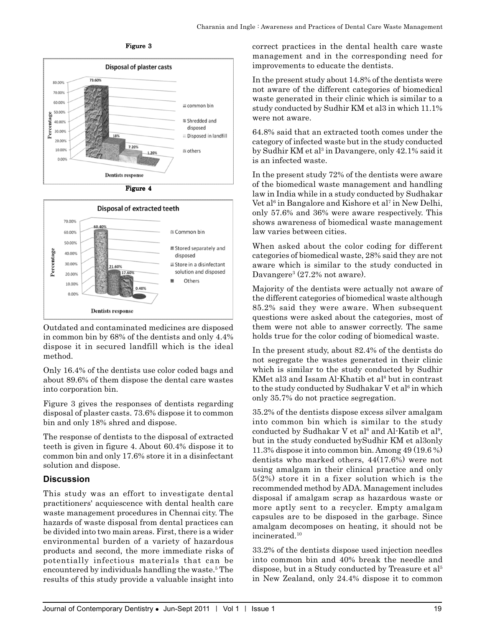

Figure 3





Outdated and contaminated medicines are disposed in common bin by 68% of the dentists and only 4.4% dispose it in secured landfill which is the ideal method.

Only 16.4% of the dentists use color coded bags and about 89.6% of them dispose the dental care wastes into corporation bin.

Figure 3 gives the responses of dentists regarding disposal of plaster casts. 73.6% dispose it to common bin and only 18% shred and dispose.

The response of dentists to the disposal of extracted teeth is given in figure 4. About 60.4% dispose it to common bin and only 17.6% store it in a disinfectant solution and dispose.

# **Discussion**

This study was an effort to investigate dental practitioners' acquiescence with dental health care waste management procedures in Chennai city. The hazards of waste disposal from dental practices can be divided into two main areas. First, there is a wider environmental burden of a variety of hazardous products and second, the more immediate risks of potentially infectious materials that can be encountered by individuals handling the waste.<sup>5</sup> The results of this study provide a valuable insight into

correct practices in the dental health care waste management and in the corresponding need for improvements to educate the dentists.

In the present study about 14.8% of the dentists were not aware of the different categories of biomedical waste generated in their clinic which is similar to a study conducted by Sudhir KM et al3 in which 11.1% were not aware.

64.8% said that an extracted tooth comes under the category of infected waste but in the study conducted by Sudhir KM et al<sup>3</sup> in Davangere, only 42.1% said it is an infected waste.

In the present study 72% of the dentists were aware of the biomedical waste management and handling law in India while in a study conducted by Sudhakar Vet al<sup>6</sup> in Bangalore and Kishore et al<sup>7</sup> in New Delhi, only 57.6% and 36% were aware respectively. This shows awareness of biomedical waste management law varies between cities.

When asked about the color coding for different categories of biomedical waste, 28% said they are not aware which is similar to the study conducted in Davangere<sup>3</sup> (27.2% not aware).

Majority of the dentists were actually not aware of the different categories of biomedical waste although 85.2% said they were aware. When subsequent questions were asked about the categories, most of them were not able to answer correctly. The same holds true for the color coding of biomedical waste.

In the present study, about 82.4% of the dentists do not segregate the wastes generated in their clinic which is similar to the study conducted by Sudhir KMet al3 and Issam Al-Khatib et al<sup>8</sup> but in contrast to the study conducted by Sudhakar V et al<sup>6</sup> in which only 35.7% do not practice segregation.

35.2% of the dentists dispose excess silver amalgam into common bin which is similar to the study conducted by Sudhakar V et al<sup>6</sup> and Al-Katib et al<sup>9</sup>, but in the study conducted bySudhir KM et al3only 11.3% dispose it into common bin. Among 49 (19.6 %) dentists who marked others, 44(17.6%) were not using amalgam in their clinical practice and only 5(2%) store it in a fixer solution which is the recommended method by ADA. Management includes disposal if amalgam scrap as hazardous waste or more aptly sent to a recycler. Empty amalgam capsules are to be disposed in the garbage. Since amalgam decomposes on heating, it should not be incinerated.<sup>10</sup>

33.2% of the dentists dispose used injection needles into common bin and 40% break the needle and dispose, but in a Study conducted by Treasure et al5 in New Zealand, only 24.4% dispose it to common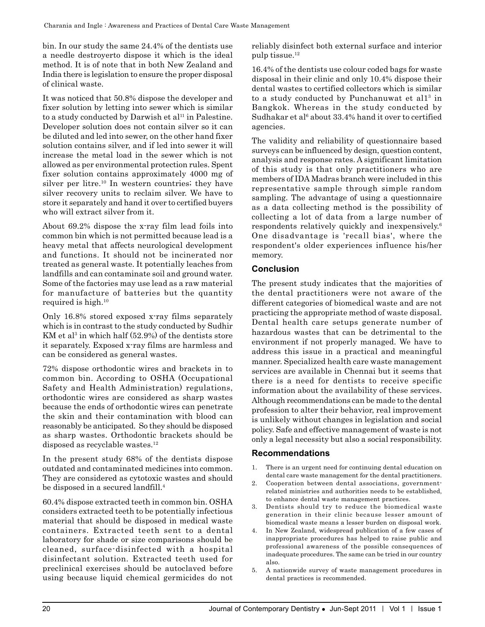bin. In our study the same 24.4% of the dentists use a needle destroyerto dispose it which is the ideal method. It is of note that in both New Zealand and India there is legislation to ensure the proper disposal of clinical waste.

It was noticed that 50.8% dispose the developer and fixer solution by letting into sewer which is similar to a study conducted by Darwish et al<sup>11</sup> in Palestine. Developer solution does not contain silver so it can be diluted and led into sewer, on the other hand fixer solution contains silver, and if led into sewer it will increase the metal load in the sewer which is not allowed as per environmental protection rules. Spent fixer solution contains approximately 4000 mg of silver per litre.<sup>10</sup> In western countries; they have silver recovery units to reclaim silver. We have to store it separately and hand it over to certified buyers who will extract silver from it.

About 69.2% dispose the x-ray film lead foils into common bin which is not permitted because lead is a heavy metal that affects neurological development and functions. It should not be incinerated nor treated as general waste. It potentially leaches from landfills and can contaminate soil and ground water. Some of the factories may use lead as a raw material for manufacture of batteries but the quantity required is high.10

Only 16.8% stored exposed x-ray films separately which is in contrast to the study conducted by Sudhir KM et al<sup>3</sup> in which half  $(52.9%)$  of the dentists store it separately. Exposed x-ray films are harmless and can be considered as general wastes.

72% dispose orthodontic wires and brackets in to common bin. According to OSHA (Occupational Safety and Health Administration) regulations, orthodontic wires are considered as sharp wastes because the ends of orthodontic wires can penetrate the skin and their contamination with blood can reasonably be anticipated. So they should be disposed as sharp wastes. Orthodontic brackets should be disposed as recyclable wastes.<sup>12</sup>

In the present study 68% of the dentists dispose outdated and contaminated medicines into common. They are considered as cytotoxic wastes and should be disposed in a secured landfill.4

60.4% dispose extracted teeth in common bin. OSHA considers extracted teeth to be potentially infectious material that should be disposed in medical waste containers. Extracted teeth sent to a dental laboratory for shade or size comparisons should be cleaned, surface-disinfected with a hospital disinfectant solution. Extracted teeth used for preclinical exercises should be autoclaved before using because liquid chemical germicides do not reliably disinfect both external surface and interior pulp tissue.12

16.4% of the dentists use colour coded bags for waste disposal in their clinic and only 10.4% dispose their dental wastes to certified collectors which is similar to a study conducted by Punchanuwat et all<sup>3</sup> in Bangkok. Whereas in the study conducted by Sudhakar et al<sup> $6$ </sup> about 33.4% hand it over to certified agencies.

The validity and reliability of questionnaire based surveys can be influenced by design, question content, analysis and response rates. A significant limitation of this study is that only practitioners who are members of IDA Madras branch were included in this representative sample through simple random sampling. The advantage of using a questionnaire as a data collecting method is the possibility of collecting a lot of data from a large number of respondents relatively quickly and inexpensively.6 One disadvantage is 'recall bias', where the respondent's older experiences influence his/her memory.

# **Conclusion**

The present study indicates that the majorities of the dental practitioners were not aware of the different categories of biomedical waste and are not practicing the appropriate method of waste disposal. Dental health care setups generate number of hazardous wastes that can be detrimental to the environment if not properly managed. We have to address this issue in a practical and meaningful manner. Specialized health care waste management services are available in Chennai but it seems that there is a need for dentists to receive specific information about the availability of these services. Although recommendations can be made to the dental profession to alter their behavior, real improvement is unlikely without changes in legislation and social policy. Safe and effective management of waste is not only a legal necessity but also a social responsibility.

# **Recommendations**

- 1. There is an urgent need for continuing dental education on dental care waste management for the dental practitioners.
- Cooperation between dental associations, governmentrelated ministries and authorities needs to be established, to enhance dental waste management practices.
- 3. Dentists should try to reduce the biomedical waste generation in their clinic because lesser amount of biomedical waste means a lesser burden on disposal work.
- 4. In New Zealand, widespread publication of a few cases of inappropriate procedures has helped to raise public and professional awareness of the possible consequences of inadequate procedures. The same can be tried in our country also.
- 5. A nationwide survey of waste management procedures in dental practices is recommended.